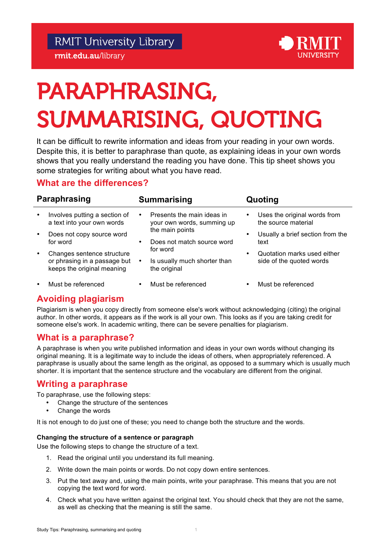# PARAPHRASING, SUMMARISING, QUOTING

 It can be difficult to rewrite information and ideas from your reading in your own words. Despite this, it is better to paraphrase than quote, as explaining ideas in your own words shows that you really understand the reading you have done. This tip sheet shows you some strategies for writing about what you have read.

# **What are the differences?**

| Paraphrasing |                                                                                          | <b>Summarising</b> |                                                                                                           | Quoting   |                                                         |
|--------------|------------------------------------------------------------------------------------------|--------------------|-----------------------------------------------------------------------------------------------------------|-----------|---------------------------------------------------------|
| $\bullet$    | Involves putting a section of<br>a text into your own words                              |                    | Presents the main ideas in<br>your own words, summing up                                                  | $\bullet$ | Uses the original words from<br>the source material     |
| $\bullet$    | Does not copy source word<br>for word                                                    |                    | the main points<br>Does not match source word<br>for word<br>Is usually much shorter than<br>the original | $\bullet$ | Usually a brief section from the<br>text                |
| $\bullet$    | Changes sentence structure<br>or phrasing in a passage but<br>keeps the original meaning |                    |                                                                                                           | $\bullet$ | Quotation marks used either<br>side of the quoted words |
| $\bullet$    | Must be referenced                                                                       |                    | Must be referenced                                                                                        |           | Must be referenced                                      |

# **Avoiding plagiarism**

 Plagiarism is when you copy directly from someone else's work without acknowledging (citing) the original author. In other words, it appears as if the work is all your own. This looks as if you are taking credit for someone else's work. In academic writing, there can be severe penalties for plagiarism.

# **What is a paraphrase?**

 A paraphrase is when you write published information and ideas in your own words without changing its original meaning. It is a legitimate way to include the ideas of others, when appropriately referenced. A paraphrase is usually about the same length as the original, as opposed to a summary which is usually much shorter. It is important that the sentence structure and the vocabulary are different from the original.

# **Writing a paraphrase**

To paraphrase, use the following steps:

- Change the structure of the sentences
- Change the words

It is not enough to do just one of these; you need to change both the structure and the words.

## **Changing the structure of a sentence or paragraph**

Use the following steps to change the structure of a text.

- 1. Read the original until you understand its full meaning.
- 2. Write down the main points or words. Do not copy down entire sentences.
- 3. Put the text away and, using the main points, write your paraphrase. This means that you are not copying the text word for word.
- 4. Check what you have written against the original text. You should check that they are not the same, as well as checking that the meaning is still the same.